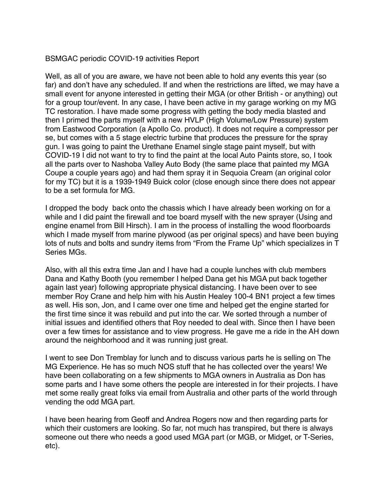## BSMGAC periodic COVID-19 activities Report

Well, as all of you are aware, we have not been able to hold any events this year (so far) and don't have any scheduled. If and when the restrictions are lifted, we may have a small event for anyone interested in getting their MGA (or other British - or anything) out for a group tour/event. In any case, I have been active in my garage working on my MG TC restoration. I have made some progress with getting the body media blasted and then I primed the parts myself with a new HVLP (High Volume/Low Pressure) system from Eastwood Corporation (a Apollo Co. product). It does not require a compressor per se, but comes with a 5 stage electric turbine that produces the pressure for the spray gun. I was going to paint the Urethane Enamel single stage paint myself, but with COVID-19 I did not want to try to find the paint at the local Auto Paints store, so, I took all the parts over to Nashoba Valley Auto Body (the same place that painted my MGA Coupe a couple years ago) and had them spray it in Sequoia Cream (an original color for my TC) but it is a 1939-1949 Buick color (close enough since there does not appear to be a set formula for MG.

I dropped the body back onto the chassis which I have already been working on for a while and I did paint the firewall and toe board myself with the new sprayer (Using and engine enamel from Bill Hirsch). I am in the process of installing the wood floorboards which I made myself from marine plywood (as per original specs) and have been buying lots of nuts and bolts and sundry items from "From the Frame Up" which specializes in T Series MGs.

Also, with all this extra time Jan and I have had a couple lunches with club members Dana and Kathy Booth (you remember I helped Dana get his MGA put back together again last year) following appropriate physical distancing. I have been over to see member Roy Crane and help him with his Austin Healey 100-4 BN1 project a few times as well. His son, Jon, and I came over one time and helped get the engine started for the first time since it was rebuild and put into the car. We sorted through a number of initial issues and identified others that Roy needed to deal with. Since then I have been over a few times for assistance and to view progress. He gave me a ride in the AH down around the neighborhood and it was running just great.

I went to see Don Tremblay for lunch and to discuss various parts he is selling on The MG Experience. He has so much NOS stuff that he has collected over the years! We have been collaborating on a few shipments to MGA owners in Australia as Don has some parts and I have some others the people are interested in for their projects. I have met some really great folks via email from Australia and other parts of the world through vending the odd MGA part.

I have been hearing from Geoff and Andrea Rogers now and then regarding parts for which their customers are looking. So far, not much has transpired, but there is always someone out there who needs a good used MGA part (or MGB, or Midget, or T-Series, etc).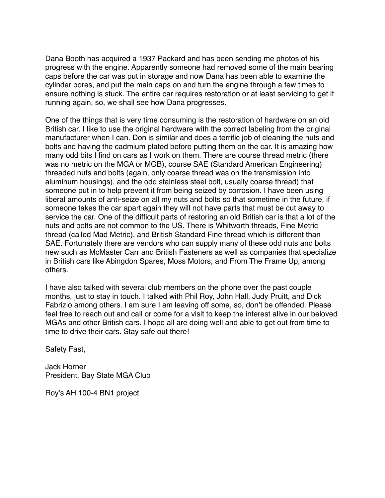Dana Booth has acquired a 1937 Packard and has been sending me photos of his progress with the engine. Apparently someone had removed some of the main bearing caps before the car was put in storage and now Dana has been able to examine the cylinder bores, and put the main caps on and turn the engine through a few times to ensure nothing is stuck. The entire car requires restoration or at least servicing to get it running again, so, we shall see how Dana progresses.

One of the things that is very time consuming is the restoration of hardware on an old British car. I like to use the original hardware with the correct labeling from the original manufacturer when I can. Don is similar and does a terrific job of cleaning the nuts and bolts and having the cadmium plated before putting them on the car. It is amazing how many odd bits I find on cars as I work on them. There are course thread metric (there was no metric on the MGA or MGB), course SAE (Standard American Engineering) threaded nuts and bolts (again, only coarse thread was on the transmission into aluminum housings), and the odd stainless steel bolt, usually coarse thread) that someone put in to help prevent it from being seized by corrosion. I have been using liberal amounts of anti-seize on all my nuts and bolts so that sometime in the future, if someone takes the car apart again they will not have parts that must be cut away to service the car. One of the difficult parts of restoring an old British car is that a lot of the nuts and bolts are not common to the US. There is Whitworth threads, Fine Metric thread (called Mad Metric), and British Standard Fine thread which is different than SAE. Fortunately there are vendors who can supply many of these odd nuts and bolts new such as McMaster Carr and British Fasteners as well as companies that specialize in British cars like Abingdon Spares, Moss Motors, and From The Frame Up, among others.

I have also talked with several club members on the phone over the past couple months, just to stay in touch. I talked with Phil Roy, John Hall, Judy Pruitt, and Dick Fabrizio among others. I am sure I am leaving off some, so, don't be offended. Please feel free to reach out and call or come for a visit to keep the interest alive in our beloved MGAs and other British cars. I hope all are doing well and able to get out from time to time to drive their cars. Stay safe out there!

Safety Fast,

Jack Horner President, Bay State MGA Club

Roy's AH 100-4 BN1 project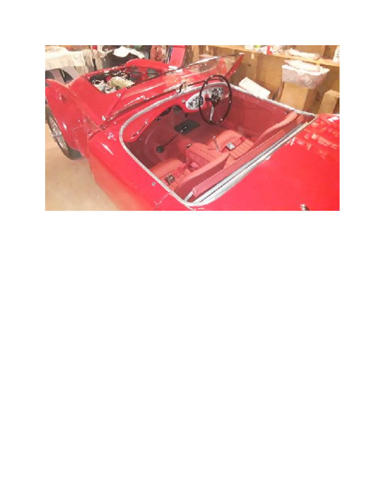